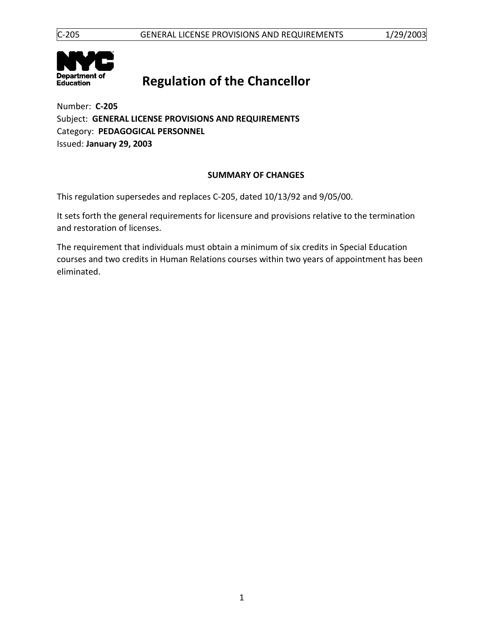

# **Regulation of the Chancellor**

Number: **C-205** Subject: **GENERAL LICENSE PROVISIONS AND REQUIREMENTS** Category: **PEDAGOGICAL PERSONNEL** Issued: **January 29, 2003**

# **SUMMARY OF CHANGES**

This regulation supersedes and replaces C-205, dated 10/13/92 and 9/05/00.

It sets forth the general requirements for licensure and provisions relative to the termination and restoration of licenses.

The requirement that individuals must obtain a minimum of six credits in Special Education courses and two credits in Human Relations courses within two years of appointment has been eliminated.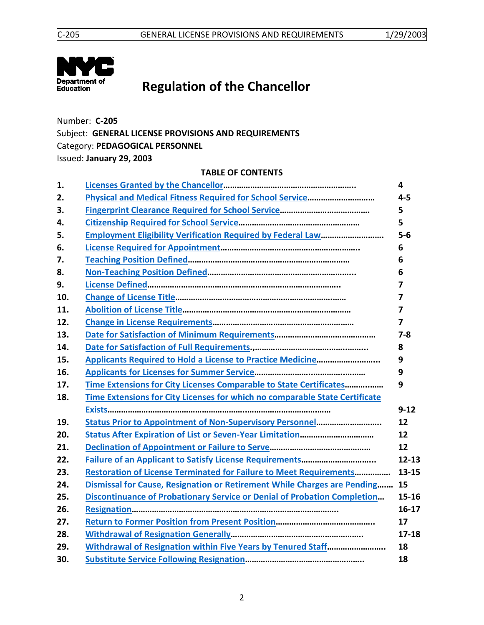

# **Regulation of the Chancellor**

Number: **C-205** Subject: **GENERAL LICENSE PROVISIONS AND REQUIREMENTS** Category: **PEDAGOGICAL PERSONNEL** Issued: **January 29, 2003**

#### **TABLE OF CONTENTS**

| 1.  |                                                                                 | $\overline{\mathbf{4}}$ |
|-----|---------------------------------------------------------------------------------|-------------------------|
| 2.  |                                                                                 | $4 - 5$                 |
| 3.  |                                                                                 | 5                       |
| 4.  |                                                                                 | 5                       |
| 5.  | <b>Employment Eligibility Verification Required by Federal Law</b>              | $5-6$                   |
| 6.  |                                                                                 | 6                       |
| 7.  |                                                                                 | 6                       |
| 8.  |                                                                                 | 6                       |
| 9.  |                                                                                 | 7                       |
| 10. |                                                                                 | 7                       |
| 11. |                                                                                 | 7                       |
| 12. |                                                                                 | $\overline{7}$          |
| 13. |                                                                                 | $7 - 8$                 |
| 14. |                                                                                 | 8                       |
| 15. | <b>Applicants Required to Hold a License to Practice Medicine</b>               | 9                       |
| 16. |                                                                                 | 9                       |
| 17. | Time Extensions for City Licenses Comparable to State Certificates              | 9                       |
| 18. | Time Extensions for City Licenses for which no comparable State Certificate     |                         |
|     |                                                                                 | $9 - 12$                |
| 19. | Status Prior to Appointment of Non-Supervisory Personnel                        | 12                      |
| 20. |                                                                                 | 12                      |
| 21. |                                                                                 | 12                      |
| 22. |                                                                                 | $12 - 13$               |
| 23. | <b>Restoration of License Terminated for Failure to Meet Requirements</b>       | 13-15                   |
| 24. | Dismissal for Cause, Resignation or Retirement While Charges are Pending        | 15                      |
| 25. | <b>Discontinuance of Probationary Service or Denial of Probation Completion</b> | $15 - 16$               |
| 26. |                                                                                 | $16 - 17$               |
| 27. |                                                                                 | 17                      |
| 28. |                                                                                 | $17 - 18$               |
| 29. | Withdrawal of Resignation within Five Years by Tenured Staff                    | 18                      |
| 30. |                                                                                 | 18                      |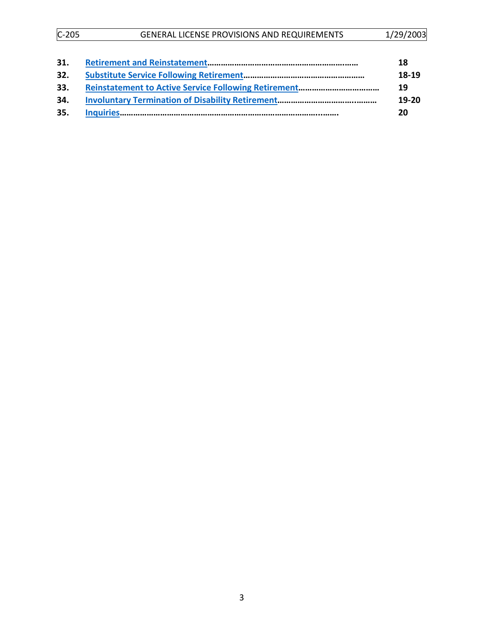| $C-205$ | <b>GENERAL LICENSE PROVISIONS AND REQUIREMENTS</b> | 1/29/2003 |
|---------|----------------------------------------------------|-----------|
|         |                                                    |           |

| 18      |
|---------|
| 18-19   |
| 19      |
| $19-20$ |
| 20      |
|         |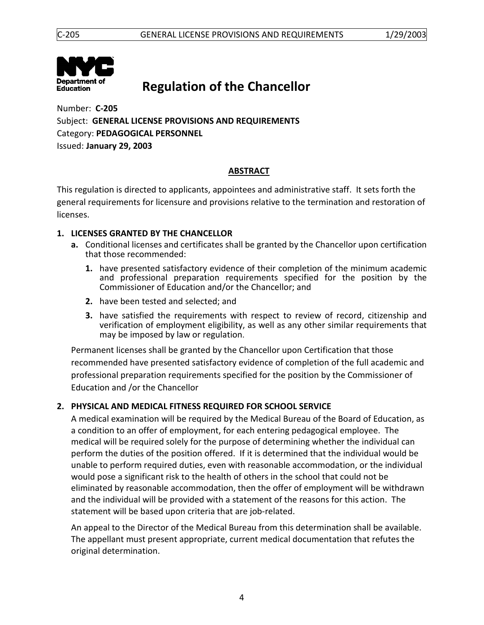

# **Regulation of the Chancellor**

Number: **C-205** Subject: **GENERAL LICENSE PROVISIONS AND REQUIREMENTS** Category: **PEDAGOGICAL PERSONNEL** Issued: **January 29, 2003**

# **ABSTRACT**

<span id="page-3-0"></span>This regulation is directed to applicants, appointees and administrative staff. It sets forth the general requirements for licensure and provisions relative to the termination and restoration of licenses.

# <span id="page-3-1"></span>**1. LICENSES GRANTED BY THE CHANCELLOR**

- **a.** Conditional licenses and certificates shall be granted by the Chancellor upon certification that those recommended:
	- **1.** have presented satisfactory evidence of their completion of the minimum academic and professional preparation requirements specified for the position by the Commissioner of Education and/or the Chancellor; and
	- **2.** have been tested and selected; and
	- **3.** have satisfied the requirements with respect to review of record, citizenship and verification of employment eligibility, as well as any other similar requirements that may be imposed by law or regulation.

Permanent licenses shall be granted by the Chancellor upon Certification that those recommended have presented satisfactory evidence of completion of the full academic and professional preparation requirements specified for the position by the Commissioner of Education and /or the Chancellor

# <span id="page-3-2"></span>**2. PHYSICAL AND MEDICAL FITNESS REQUIRED FOR SCHOOL SERVICE**

A medical examination will be required by the Medical Bureau of the Board of Education, as a condition to an offer of employment, for each entering pedagogical employee. The medical will be required solely for the purpose of determining whether the individual can perform the duties of the position offered. If it is determined that the individual would be unable to perform required duties, even with reasonable accommodation, or the individual would pose a significant risk to the health of others in the school that could not be eliminated by reasonable accommodation, then the offer of employment will be withdrawn and the individual will be provided with a statement of the reasons for this action. The statement will be based upon criteria that are job-related.

An appeal to the Director of the Medical Bureau from this determination shall be available. The appellant must present appropriate, current medical documentation that refutes the original determination.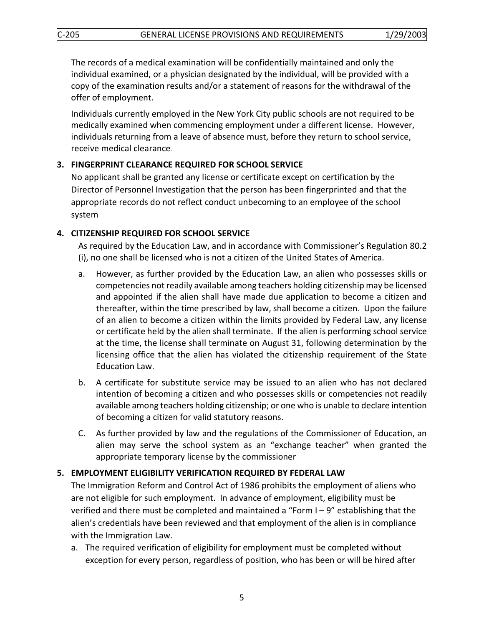The records of a medical examination will be confidentially maintained and only the individual examined, or a physician designated by the individual, will be provided with a copy of the examination results and/or a statement of reasons for the withdrawal of the offer of employment.

Individuals currently employed in the New York City public schools are not required to be medically examined when commencing employment under a different license. However, individuals returning from a leave of absence must, before they return to school service, receive medical clearance.

## <span id="page-4-0"></span>**3. FINGERPRINT CLEARANCE REQUIRED FOR SCHOOL SERVICE**

No applicant shall be granted any license or certificate except on certification by the Director of Personnel Investigation that the person has been fingerprinted and that the appropriate records do not reflect conduct unbecoming to an employee of the school system

## <span id="page-4-1"></span>**4. CITIZENSHIP REQUIRED FOR SCHOOL SERVICE**

As required by the Education Law, and in accordance with Commissioner's Regulation 80.2 (i), no one shall be licensed who is not a citizen of the United States of America.

- a. However, as further provided by the Education Law, an alien who possesses skills or competencies not readily available among teachers holding citizenship may be licensed and appointed if the alien shall have made due application to become a citizen and thereafter, within the time prescribed by law, shall become a citizen. Upon the failure of an alien to become a citizen within the limits provided by Federal Law, any license or certificate held by the alien shall terminate. If the alien is performing school service at the time, the license shall terminate on August 31, following determination by the licensing office that the alien has violated the citizenship requirement of the State Education Law.
- b. A certificate for substitute service may be issued to an alien who has not declared intention of becoming a citizen and who possesses skills or competencies not readily available among teachers holding citizenship; or one who is unable to declare intention of becoming a citizen for valid statutory reasons.
- C. As further provided by law and the regulations of the Commissioner of Education, an alien may serve the school system as an "exchange teacher" when granted the appropriate temporary license by the commissioner

## <span id="page-4-2"></span>**5. EMPLOYMENT ELIGIBILITY VERIFICATION REQUIRED BY FEDERAL LAW**

The Immigration Reform and Control Act of 1986 prohibits the employment of aliens who are not eligible for such employment. In advance of employment, eligibility must be verified and there must be completed and maintained a "Form I – 9" establishing that the alien's credentials have been reviewed and that employment of the alien is in compliance with the Immigration Law.

a. The required verification of eligibility for employment must be completed without exception for every person, regardless of position, who has been or will be hired after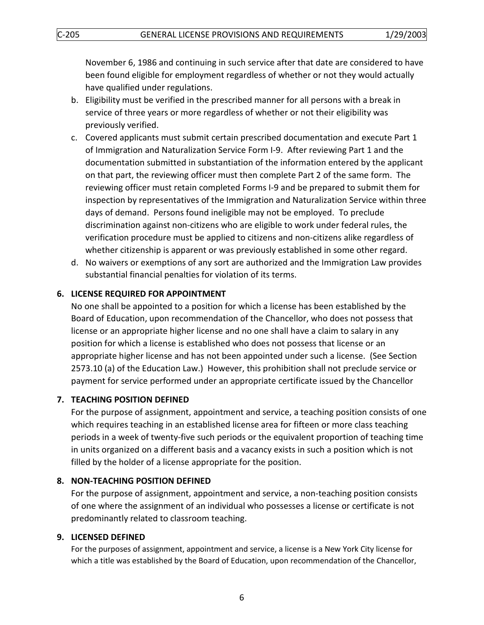November 6, 1986 and continuing in such service after that date are considered to have been found eligible for employment regardless of whether or not they would actually have qualified under regulations.

- b. Eligibility must be verified in the prescribed manner for all persons with a break in service of three years or more regardless of whether or not their eligibility was previously verified.
- c. Covered applicants must submit certain prescribed documentation and execute Part 1 of Immigration and Naturalization Service Form I-9. After reviewing Part 1 and the documentation submitted in substantiation of the information entered by the applicant on that part, the reviewing officer must then complete Part 2 of the same form. The reviewing officer must retain completed Forms I-9 and be prepared to submit them for inspection by representatives of the Immigration and Naturalization Service within three days of demand. Persons found ineligible may not be employed. To preclude discrimination against non-citizens who are eligible to work under federal rules, the verification procedure must be applied to citizens and non-citizens alike regardless of whether citizenship is apparent or was previously established in some other regard.
- d. No waivers or exemptions of any sort are authorized and the Immigration Law provides substantial financial penalties for violation of its terms.

## <span id="page-5-0"></span>**6. LICENSE REQUIRED FOR APPOINTMENT**

No one shall be appointed to a position for which a license has been established by the Board of Education, upon recommendation of the Chancellor, who does not possess that license or an appropriate higher license and no one shall have a claim to salary in any position for which a license is established who does not possess that license or an appropriate higher license and has not been appointed under such a license. (See Section 2573.10 (a) of the Education Law.) However, this prohibition shall not preclude service or payment for service performed under an appropriate certificate issued by the Chancellor

#### **7. TEACHING POSITION DEFINED**

For the purpose of assignment, appointment and service, a teaching position consists of one which requires teaching in an established license area for fifteen or more class teaching periods in a week of twenty-five such periods or the equivalent proportion of teaching time in units organized on a different basis and a vacancy exists in such a position which is not filled by the holder of a license appropriate for the position.

#### <span id="page-5-1"></span>**8. NON-TEACHING POSITION DEFINED**

For the purpose of assignment, appointment and service, a non-teaching position consists of one where the assignment of an individual who possesses a license or certificate is not predominantly related to classroom teaching.

#### <span id="page-5-2"></span>**9. LICENSED DEFINED**

For the purposes of assignment, appointment and service, a license is a New York City license for which a title was established by the Board of Education, upon recommendation of the Chancellor,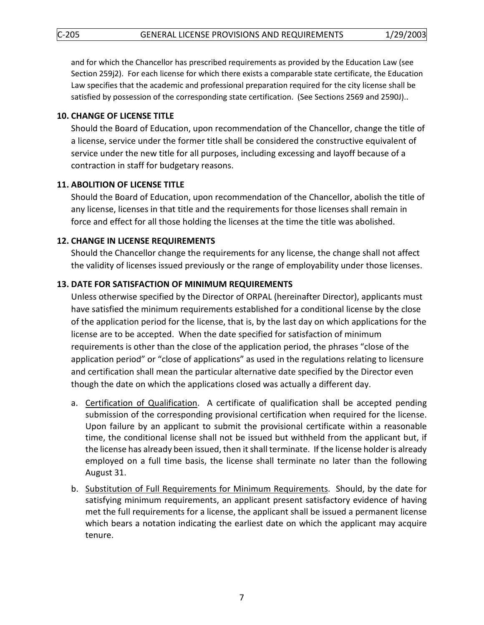and for which the Chancellor has prescribed requirements as provided by the Education Law (see Section 259j2). For each license for which there exists a comparable state certificate, the Education Law specifies that the academic and professional preparation required for the city license shall be satisfied by possession of the corresponding state certification. (See Sections 2569 and 2590J)..

#### <span id="page-6-0"></span>**10. CHANGE OF LICENSE TITLE**

Should the Board of Education, upon recommendation of the Chancellor, change the title of a license, service under the former title shall be considered the constructive equivalent of service under the new title for all purposes, including excessing and layoff because of a contraction in staff for budgetary reasons.

## <span id="page-6-1"></span>**11. ABOLITION OF LICENSE TITLE**

Should the Board of Education, upon recommendation of the Chancellor, abolish the title of any license, licenses in that title and the requirements for those licenses shall remain in force and effect for all those holding the licenses at the time the title was abolished.

#### <span id="page-6-2"></span>**12. CHANGE IN LICENSE REQUIREMENTS**

Should the Chancellor change the requirements for any license, the change shall not affect the validity of licenses issued previously or the range of employability under those licenses.

#### <span id="page-6-3"></span>**13. DATE FOR SATISFACTION OF MINIMUM REQUIREMENTS**

Unless otherwise specified by the Director of ORPAL (hereinafter Director), applicants must have satisfied the minimum requirements established for a conditional license by the close of the application period for the license, that is, by the last day on which applications for the license are to be accepted. When the date specified for satisfaction of minimum requirements is other than the close of the application period, the phrases "close of the application period" or "close of applications" as used in the regulations relating to licensure and certification shall mean the particular alternative date specified by the Director even though the date on which the applications closed was actually a different day.

- a. Certification of Qualification. A certificate of qualification shall be accepted pending submission of the corresponding provisional certification when required for the license. Upon failure by an applicant to submit the provisional certificate within a reasonable time, the conditional license shall not be issued but withheld from the applicant but, if the license has already been issued, then it shall terminate. If the license holder is already employed on a full time basis, the license shall terminate no later than the following August 31.
- b. Substitution of Full Requirements for Minimum Requirements. Should, by the date for satisfying minimum requirements, an applicant present satisfactory evidence of having met the full requirements for a license, the applicant shall be issued a permanent license which bears a notation indicating the earliest date on which the applicant may acquire tenure.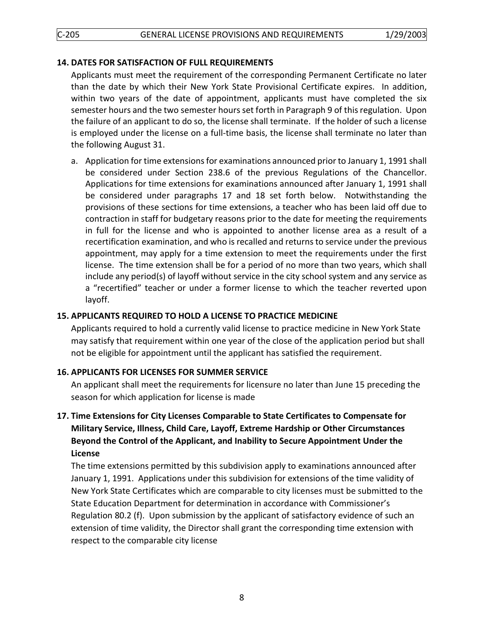## <span id="page-7-1"></span><span id="page-7-0"></span>**14. DATES FOR SATISFACTION OF FULL REQUIREMENTS**

Applicants must meet the requirement of the corresponding Permanent Certificate no later than the date by which their New York State Provisional Certificate expires. In addition, within two years of the date of appointment, applicants must have completed the six semester hours and the two semester hours set forth in Paragraph 9 of this regulation. Upon the failure of an applicant to do so, the license shall terminate. If the holder of such a license is employed under the license on a full-time basis, the license shall terminate no later than the following August 31.

a. Application for time extensions for examinations announced prior to January 1, 1991 shall be considered under Section 238.6 of the previous Regulations of the Chancellor. Applications for time extensions for examinations announced after January 1, 1991 shall be considered under paragraphs 17 and 18 set forth below. Notwithstanding the provisions of these sections for time extensions, a teacher who has been laid off due to contraction in staff for budgetary reasons prior to the date for meeting the requirements in full for the license and who is appointed to another license area as a result of a recertification examination, and who is recalled and returns to service under the previous appointment, may apply for a time extension to meet the requirements under the first license. The time extension shall be for a period of no more than two years, which shall include any period(s) of layoff without service in the city school system and any service as a "recertified" teacher or under a former license to which the teacher reverted upon layoff.

## <span id="page-7-2"></span>**15. APPLICANTS REQUIRED TO HOLD A LICENSE TO PRACTICE MEDICINE**

Applicants required to hold a currently valid license to practice medicine in New York State may satisfy that requirement within one year of the close of the application period but shall not be eligible for appointment until the applicant has satisfied the requirement.

## <span id="page-7-3"></span>**16. APPLICANTS FOR LICENSES FOR SUMMER SERVICE**

An applicant shall meet the requirements for licensure no later than June 15 preceding the season for which application for license is made

# **17. Time Extensions for City Licenses Comparable to State Certificates to Compensate for Military Service, Illness, Child Care, Layoff, Extreme Hardship or Other Circumstances Beyond the Control of the Applicant, and Inability to Secure Appointment Under the License**

<span id="page-7-4"></span>The time extensions permitted by this subdivision apply to examinations announced after January 1, 1991. Applications under this subdivision for extensions of the time validity of New York State Certificates which are comparable to city licenses must be submitted to the State Education Department for determination in accordance with Commissioner's Regulation 80.2 (f). Upon submission by the applicant of satisfactory evidence of such an extension of time validity, the Director shall grant the corresponding time extension with respect to the comparable city license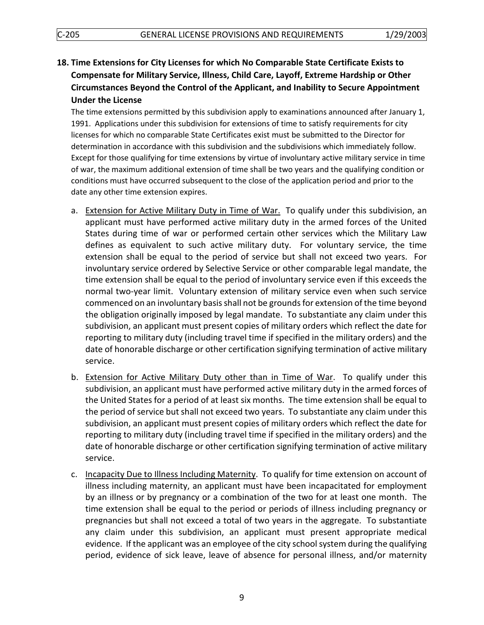**18. Time Extensions for City Licenses for which No Comparable State Certificate Exists to Compensate for Military Service, Illness, Child Care, Layoff, Extreme Hardship or Other Circumstances Beyond the Control of the Applicant, and Inability to Secure Appointment Under the License**

<span id="page-8-0"></span>The time extensions permitted by this subdivision apply to examinations announced after January 1, 1991. Applications under this subdivision for extensions of time to satisfy requirements for city licenses for which no comparable State Certificates exist must be submitted to the Director for determination in accordance with this subdivision and the subdivisions which immediately follow. Except for those qualifying for time extensions by virtue of involuntary active military service in time of war, the maximum additional extension of time shall be two years and the qualifying condition or conditions must have occurred subsequent to the close of the application period and prior to the date any other time extension expires.

- a. Extension for Active Military Duty in Time of War. To qualify under this subdivision, an applicant must have performed active military duty in the armed forces of the United States during time of war or performed certain other services which the Military Law defines as equivalent to such active military duty. For voluntary service, the time extension shall be equal to the period of service but shall not exceed two years. For involuntary service ordered by Selective Service or other comparable legal mandate, the time extension shall be equal to the period of involuntary service even if this exceeds the normal two-year limit. Voluntary extension of military service even when such service commenced on an involuntary basis shall not be grounds for extension of the time beyond the obligation originally imposed by legal mandate. To substantiate any claim under this subdivision, an applicant must present copies of military orders which reflect the date for reporting to military duty (including travel time if specified in the military orders) and the date of honorable discharge or other certification signifying termination of active military service.
- b. Extension for Active Military Duty other than in Time of War. To qualify under this subdivision, an applicant must have performed active military duty in the armed forces of the United States for a period of at least six months. The time extension shall be equal to the period of service but shall not exceed two years. To substantiate any claim under this subdivision, an applicant must present copies of military orders which reflect the date for reporting to military duty (including travel time if specified in the military orders) and the date of honorable discharge or other certification signifying termination of active military service.
- c. Incapacity Due to Illness Including Maternity. To qualify for time extension on account of illness including maternity, an applicant must have been incapacitated for employment by an illness or by pregnancy or a combination of the two for at least one month. The time extension shall be equal to the period or periods of illness including pregnancy or pregnancies but shall not exceed a total of two years in the aggregate. To substantiate any claim under this subdivision, an applicant must present appropriate medical evidence. If the applicant was an employee of the city school system during the qualifying period, evidence of sick leave, leave of absence for personal illness, and/or maternity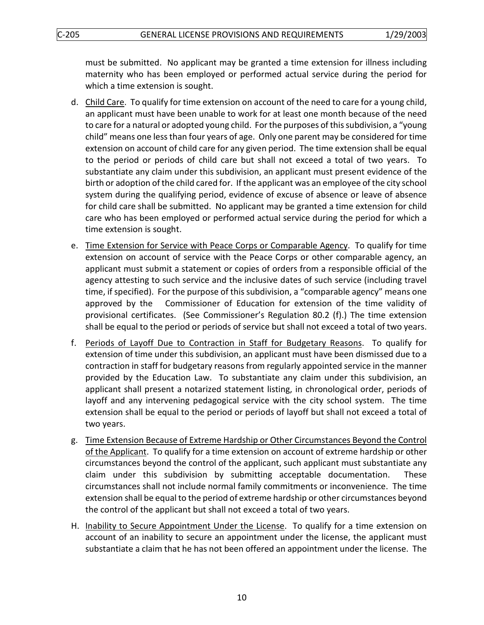must be submitted. No applicant may be granted a time extension for illness including maternity who has been employed or performed actual service during the period for which a time extension is sought.

- d. Child Care. To qualify for time extension on account of the need to care for a young child, an applicant must have been unable to work for at least one month because of the need to care for a natural or adopted young child. For the purposes of this subdivision, a "young child" means one less than four years of age. Only one parent may be considered for time extension on account of child care for any given period. The time extension shall be equal to the period or periods of child care but shall not exceed a total of two years. To substantiate any claim under this subdivision, an applicant must present evidence of the birth or adoption of the child cared for. If the applicant was an employee of the city school system during the qualifying period, evidence of excuse of absence or leave of absence for child care shall be submitted. No applicant may be granted a time extension for child care who has been employed or performed actual service during the period for which a time extension is sought.
- e. Time Extension for Service with Peace Corps or Comparable Agency. To qualify for time extension on account of service with the Peace Corps or other comparable agency, an applicant must submit a statement or copies of orders from a responsible official of the agency attesting to such service and the inclusive dates of such service (including travel time, if specified). For the purpose of this subdivision, a "comparable agency" means one approved by the Commissioner of Education for extension of the time validity of provisional certificates. (See Commissioner's Regulation 80.2 (f).) The time extension shall be equal to the period or periods of service but shall not exceed a total of two years.
- f. Periods of Layoff Due to Contraction in Staff for Budgetary Reasons. To qualify for extension of time under this subdivision, an applicant must have been dismissed due to a contraction in staff for budgetary reasons from regularly appointed service in the manner provided by the Education Law. To substantiate any claim under this subdivision, an applicant shall present a notarized statement listing, in chronological order, periods of layoff and any intervening pedagogical service with the city school system. The time extension shall be equal to the period or periods of layoff but shall not exceed a total of two years.
- g. Time Extension Because of Extreme Hardship or Other Circumstances Beyond the Control of the Applicant. To qualify for a time extension on account of extreme hardship or other circumstances beyond the control of the applicant, such applicant must substantiate any claim under this subdivision by submitting acceptable documentation. These circumstances shall not include normal family commitments or inconvenience. The time extension shall be equal to the period of extreme hardship or other circumstances beyond the control of the applicant but shall not exceed a total of two years.
- H. Inability to Secure Appointment Under the License. To qualify for a time extension on account of an inability to secure an appointment under the license, the applicant must substantiate a claim that he has not been offered an appointment under the license. The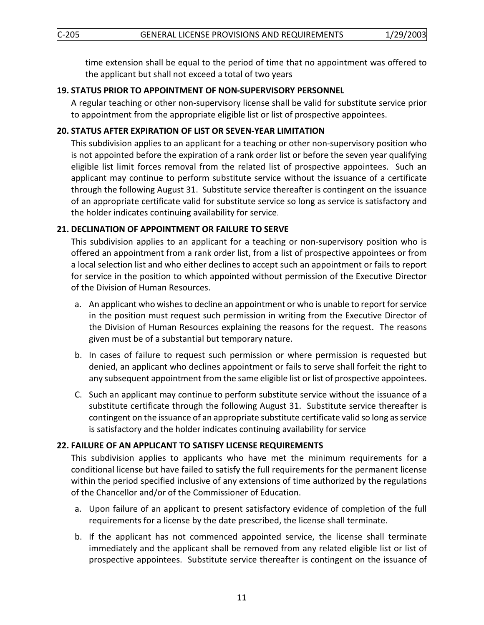time extension shall be equal to the period of time that no appointment was offered to the applicant but shall not exceed a total of two years

#### **19. STATUS PRIOR TO APPOINTMENT OF NON-SUPERVISORY PERSONNEL**

A regular teaching or other non-supervisory license shall be valid for substitute service prior to appointment from the appropriate eligible list or list of prospective appointees.

## <span id="page-10-1"></span><span id="page-10-0"></span>**20. STATUS AFTER EXPIRATION OF LIST OR SEVEN-YEAR LIMITATION**

This subdivision applies to an applicant for a teaching or other non-supervisory position who is not appointed before the expiration of a rank order list or before the seven year qualifying eligible list limit forces removal from the related list of prospective appointees. Such an applicant may continue to perform substitute service without the issuance of a certificate through the following August 31. Substitute service thereafter is contingent on the issuance of an appropriate certificate valid for substitute service so long as service is satisfactory and the holder indicates continuing availability for service.

#### <span id="page-10-2"></span>**21. DECLINATION OF APPOINTMENT OR FAILURE TO SERVE**

This subdivision applies to an applicant for a teaching or non-supervisory position who is offered an appointment from a rank order list, from a list of prospective appointees or from a local selection list and who either declines to accept such an appointment or fails to report for service in the position to which appointed without permission of the Executive Director of the Division of Human Resources.

- a. An applicant who wishes to decline an appointment or who is unable to report for service in the position must request such permission in writing from the Executive Director of the Division of Human Resources explaining the reasons for the request. The reasons given must be of a substantial but temporary nature.
- b. In cases of failure to request such permission or where permission is requested but denied, an applicant who declines appointment or fails to serve shall forfeit the right to any subsequent appointment from the same eligible list or list of prospective appointees.
- C. Such an applicant may continue to perform substitute service without the issuance of a substitute certificate through the following August 31. Substitute service thereafter is contingent on the issuance of an appropriate substitute certificate valid so long as service is satisfactory and the holder indicates continuing availability for service

#### <span id="page-10-3"></span>**22. FAILURE OF AN APPLICANT TO SATISFY LICENSE REQUIREMENTS**

This subdivision applies to applicants who have met the minimum requirements for a conditional license but have failed to satisfy the full requirements for the permanent license within the period specified inclusive of any extensions of time authorized by the regulations of the Chancellor and/or of the Commissioner of Education.

- a. Upon failure of an applicant to present satisfactory evidence of completion of the full requirements for a license by the date prescribed, the license shall terminate.
- b. If the applicant has not commenced appointed service, the license shall terminate immediately and the applicant shall be removed from any related eligible list or list of prospective appointees. Substitute service thereafter is contingent on the issuance of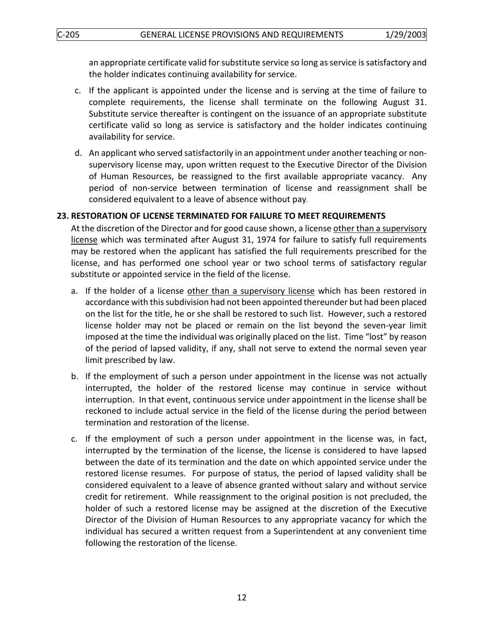an appropriate certificate valid for substitute service so long as service is satisfactory and the holder indicates continuing availability for service.

- c. If the applicant is appointed under the license and is serving at the time of failure to complete requirements, the license shall terminate on the following August 31. Substitute service thereafter is contingent on the issuance of an appropriate substitute certificate valid so long as service is satisfactory and the holder indicates continuing availability for service.
- d. An applicant who served satisfactorily in an appointment under another teaching or nonsupervisory license may, upon written request to the Executive Director of the Division of Human Resources, be reassigned to the first available appropriate vacancy. Any period of non-service between termination of license and reassignment shall be considered equivalent to a leave of absence without pay.

## <span id="page-11-0"></span>**23. RESTORATION OF LICENSE TERMINATED FOR FAILURE TO MEET REQUIREMENTS**

At the discretion of the Director and for good cause shown, a license other than a supervisory license which was terminated after August 31, 1974 for failure to satisfy full requirements may be restored when the applicant has satisfied the full requirements prescribed for the license, and has performed one school year or two school terms of satisfactory regular substitute or appointed service in the field of the license.

- a. If the holder of a license other than a supervisory license which has been restored in accordance with this subdivision had not been appointed thereunder but had been placed on the list for the title, he or she shall be restored to such list. However, such a restored license holder may not be placed or remain on the list beyond the seven-year limit imposed at the time the individual was originally placed on the list. Time "lost" by reason of the period of lapsed validity, if any, shall not serve to extend the normal seven year limit prescribed by law.
- b. If the employment of such a person under appointment in the license was not actually interrupted, the holder of the restored license may continue in service without interruption. In that event, continuous service under appointment in the license shall be reckoned to include actual service in the field of the license during the period between termination and restoration of the license.
- c. If the employment of such a person under appointment in the license was, in fact, interrupted by the termination of the license, the license is considered to have lapsed between the date of its termination and the date on which appointed service under the restored license resumes. For purpose of status, the period of lapsed validity shall be considered equivalent to a leave of absence granted without salary and without service credit for retirement. While reassignment to the original position is not precluded, the holder of such a restored license may be assigned at the discretion of the Executive Director of the Division of Human Resources to any appropriate vacancy for which the individual has secured a written request from a Superintendent at any convenient time following the restoration of the license.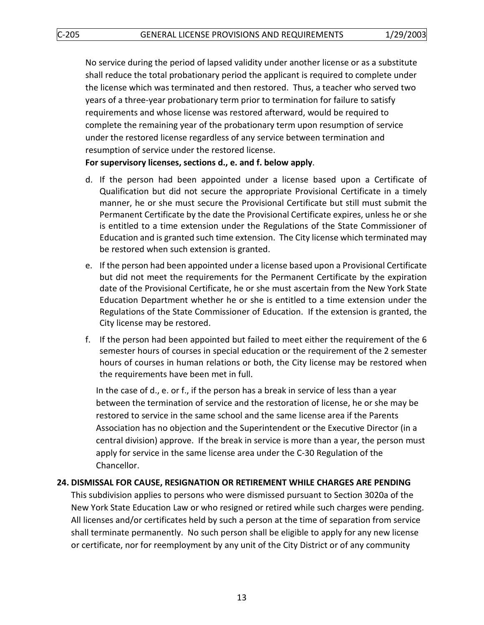No service during the period of lapsed validity under another license or as a substitute shall reduce the total probationary period the applicant is required to complete under the license which was terminated and then restored. Thus, a teacher who served two years of a three-year probationary term prior to termination for failure to satisfy requirements and whose license was restored afterward, would be required to complete the remaining year of the probationary term upon resumption of service under the restored license regardless of any service between termination and resumption of service under the restored license.

**For supervisory licenses, sections d., e. and f. below apply**.

- d. If the person had been appointed under a license based upon a Certificate of Qualification but did not secure the appropriate Provisional Certificate in a timely manner, he or she must secure the Provisional Certificate but still must submit the Permanent Certificate by the date the Provisional Certificate expires, unless he or she is entitled to a time extension under the Regulations of the State Commissioner of Education and is granted such time extension. The City license which terminated may be restored when such extension is granted.
- e. If the person had been appointed under a license based upon a Provisional Certificate but did not meet the requirements for the Permanent Certificate by the expiration date of the Provisional Certificate, he or she must ascertain from the New York State Education Department whether he or she is entitled to a time extension under the Regulations of the State Commissioner of Education. If the extension is granted, the City license may be restored.
- f. If the person had been appointed but failed to meet either the requirement of the 6 semester hours of courses in special education or the requirement of the 2 semester hours of courses in human relations or both, the City license may be restored when the requirements have been met in full.

In the case of d., e. or f., if the person has a break in service of less than a year between the termination of service and the restoration of license, he or she may be restored to service in the same school and the same license area if the Parents Association has no objection and the Superintendent or the Executive Director (in a central division) approve. If the break in service is more than a year, the person must apply for service in the same license area under the C-30 Regulation of the Chancellor.

# **24. DISMISSAL FOR CAUSE, RESIGNATION OR RETIREMENT WHILE CHARGES ARE PENDING**

This subdivision applies to persons who were dismissed pursuant to Section 3020a of the New York State Education Law or who resigned or retired while such charges were pending. All licenses and/or certificates held by such a person at the time of separation from service shall terminate permanently. No such person shall be eligible to apply for any new license or certificate, nor for reemployment by any unit of the City District or of any community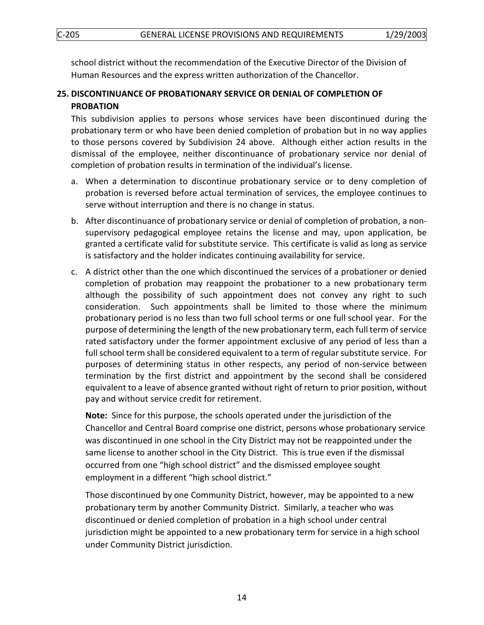C-205 GENERAL LICENSE PROVISIONS AND REQUIREMENTS 1/29/2003

school district without the recommendation of the Executive Director of the Division of Human Resources and the express written authorization of the Chancellor.

# <span id="page-13-0"></span>**25. DISCONTINUANCE OF PROBATIONARY SERVICE OR DENIAL OF COMPLETION OF PROBATION**

<span id="page-13-1"></span>This subdivision applies to persons whose services have been discontinued during the probationary term or who have been denied completion of probation but in no way applies to those persons covered by Subdivision 24 above. Although either action results in the dismissal of the employee, neither discontinuance of probationary service nor denial of completion of probation results in termination of the individual's license.

- a. When a determination to discontinue probationary service or to deny completion of probation is reversed before actual termination of services, the employee continues to serve without interruption and there is no change in status.
- b. After discontinuance of probationary service or denial of completion of probation, a nonsupervisory pedagogical employee retains the license and may, upon application, be granted a certificate valid for substitute service. This certificate is valid as long as service is satisfactory and the holder indicates continuing availability for service.
- c. A district other than the one which discontinued the services of a probationer or denied completion of probation may reappoint the probationer to a new probationary term although the possibility of such appointment does not convey any right to such consideration. Such appointments shall be limited to those where the minimum probationary period is no less than two full school terms or one full school year. For the purpose of determining the length of the new probationary term, each full term of service rated satisfactory under the former appointment exclusive of any period of less than a full school term shall be considered equivalent to a term of regular substitute service. For purposes of determining status in other respects, any period of non-service between termination by the first district and appointment by the second shall be considered equivalent to a leave of absence granted without right of return to prior position, without pay and without service credit for retirement.

**Note:** Since for this purpose, the schools operated under the jurisdiction of the Chancellor and Central Board comprise one district, persons whose probationary service was discontinued in one school in the City District may not be reappointed under the same license to another school in the City District. This is true even if the dismissal occurred from one "high school district" and the dismissed employee sought employment in a different "high school district."

Those discontinued by one Community District, however, may be appointed to a new probationary term by another Community District. Similarly, a teacher who was discontinued or denied completion of probation in a high school under central jurisdiction might be appointed to a new probationary term for service in a high school under Community District jurisdiction.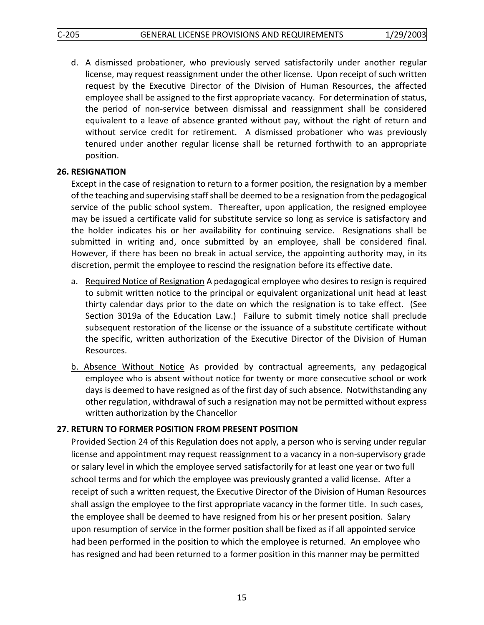d. A dismissed probationer, who previously served satisfactorily under another regular license, may request reassignment under the other license. Upon receipt of such written request by the Executive Director of the Division of Human Resources, the affected employee shall be assigned to the first appropriate vacancy. For determination of status, the period of non-service between dismissal and reassignment shall be considered equivalent to a leave of absence granted without pay, without the right of return and without service credit for retirement. A dismissed probationer who was previously tenured under another regular license shall be returned forthwith to an appropriate position.

## <span id="page-14-0"></span>**26. RESIGNATION**

Except in the case of resignation to return to a former position, the resignation by a member of the teaching and supervising staff shall be deemed to be a resignation from the pedagogical service of the public school system. Thereafter, upon application, the resigned employee may be issued a certificate valid for substitute service so long as service is satisfactory and the holder indicates his or her availability for continuing service. Resignations shall be submitted in writing and, once submitted by an employee, shall be considered final. However, if there has been no break in actual service, the appointing authority may, in its discretion, permit the employee to rescind the resignation before its effective date.

- a. Required Notice of Resignation A pedagogical employee who desires to resign is required to submit written notice to the principal or equivalent organizational unit head at least thirty calendar days prior to the date on which the resignation is to take effect. (See Section 3019a of the Education Law.) Failure to submit timely notice shall preclude subsequent restoration of the license or the issuance of a substitute certificate without the specific, written authorization of the Executive Director of the Division of Human Resources.
- b. Absence Without Notice As provided by contractual agreements, any pedagogical employee who is absent without notice for twenty or more consecutive school or work days is deemed to have resigned as of the first day of such absence. Notwithstanding any other regulation, withdrawal of such a resignation may not be permitted without express written authorization by the Chancellor

# <span id="page-14-1"></span>**27. RETURN TO FORMER POSITION FROM PRESENT POSITION**

Provided Section 24 of this Regulation does not apply, a person who is serving under regular license and appointment may request reassignment to a vacancy in a non-supervisory grade or salary level in which the employee served satisfactorily for at least one year or two full school terms and for which the employee was previously granted a valid license. After a receipt of such a written request, the Executive Director of the Division of Human Resources shall assign the employee to the first appropriate vacancy in the former title. In such cases, the employee shall be deemed to have resigned from his or her present position. Salary upon resumption of service in the former position shall be fixed as if all appointed service had been performed in the position to which the employee is returned. An employee who has resigned and had been returned to a former position in this manner may be permitted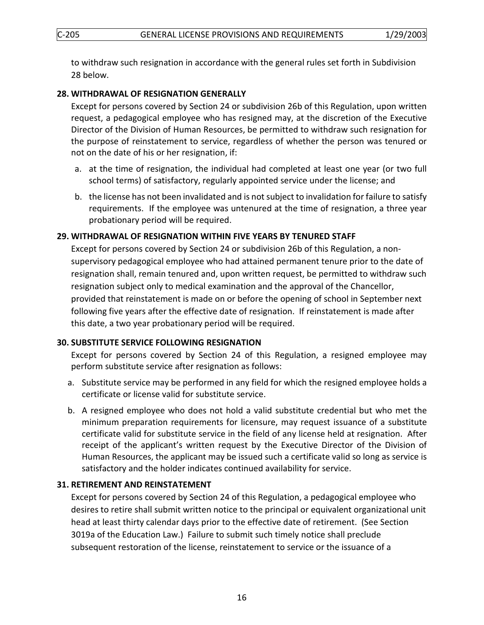to withdraw such resignation in accordance with the general rules set forth in Subdivision 28 below.

#### **28. WITHDRAWAL OF RESIGNATION GENERALLY**

Except for persons covered by Section 24 or subdivision 26b of this Regulation, upon written request, a pedagogical employee who has resigned may, at the discretion of the Executive Director of the Division of Human Resources, be permitted to withdraw such resignation for the purpose of reinstatement to service, regardless of whether the person was tenured or not on the date of his or her resignation, if:

- a. at the time of resignation, the individual had completed at least one year (or two full school terms) of satisfactory, regularly appointed service under the license; and
- b. the license has not been invalidated and is not subject to invalidation for failure to satisfy requirements. If the employee was untenured at the time of resignation, a three year probationary period will be required.

## <span id="page-15-0"></span>**29. WITHDRAWAL OF RESIGNATION WITHIN FIVE YEARS BY TENURED STAFF**

Except for persons covered by Section 24 or subdivision 26b of this Regulation, a nonsupervisory pedagogical employee who had attained permanent tenure prior to the date of resignation shall, remain tenured and, upon written request, be permitted to withdraw such resignation subject only to medical examination and the approval of the Chancellor, provided that reinstatement is made on or before the opening of school in September next following five years after the effective date of resignation. If reinstatement is made after this date, a two year probationary period will be required.

## <span id="page-15-2"></span><span id="page-15-1"></span>**30. SUBSTITUTE SERVICE FOLLOWING RESIGNATION**

Except for persons covered by Section 24 of this Regulation, a resigned employee may perform substitute service after resignation as follows:

- a. Substitute service may be performed in any field for which the resigned employee holds a certificate or license valid for substitute service.
- b. A resigned employee who does not hold a valid substitute credential but who met the minimum preparation requirements for licensure, may request issuance of a substitute certificate valid for substitute service in the field of any license held at resignation. After receipt of the applicant's written request by the Executive Director of the Division of Human Resources, the applicant may be issued such a certificate valid so long as service is satisfactory and the holder indicates continued availability for service.

## **31. RETIREMENT AND REINSTATEMENT**

Except for persons covered by Section 24 of this Regulation, a pedagogical employee who desires to retire shall submit written notice to the principal or equivalent organizational unit head at least thirty calendar days prior to the effective date of retirement. (See Section 3019a of the Education Law.) Failure to submit such timely notice shall preclude subsequent restoration of the license, reinstatement to service or the issuance of a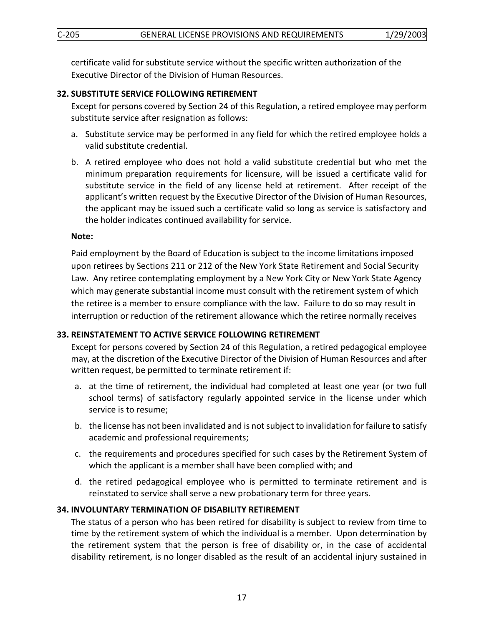certificate valid for substitute service without the specific written authorization of the Executive Director of the Division of Human Resources.

## <span id="page-16-1"></span><span id="page-16-0"></span>**32. SUBSTITUTE SERVICE FOLLOWING RETIREMENT**

Except for persons covered by Section 24 of this Regulation, a retired employee may perform substitute service after resignation as follows:

- a. Substitute service may be performed in any field for which the retired employee holds a valid substitute credential.
- b. A retired employee who does not hold a valid substitute credential but who met the minimum preparation requirements for licensure, will be issued a certificate valid for substitute service in the field of any license held at retirement. After receipt of the applicant's written request by the Executive Director of the Division of Human Resources, the applicant may be issued such a certificate valid so long as service is satisfactory and the holder indicates continued availability for service.

#### **Note:**

Paid employment by the Board of Education is subject to the income limitations imposed upon retirees by Sections 211 or 212 of the New York State Retirement and Social Security Law. Any retiree contemplating employment by a New York City or New York State Agency which may generate substantial income must consult with the retirement system of which the retiree is a member to ensure compliance with the law. Failure to do so may result in interruption or reduction of the retirement allowance which the retiree normally receives

## <span id="page-16-2"></span>**33. REINSTATEMENT TO ACTIVE SERVICE FOLLOWING RETIREMENT**

Except for persons covered by Section 24 of this Regulation, a retired pedagogical employee may, at the discretion of the Executive Director of the Division of Human Resources and after written request, be permitted to terminate retirement if:

- a. at the time of retirement, the individual had completed at least one year (or two full school terms) of satisfactory regularly appointed service in the license under which service is to resume;
- b. the license has not been invalidated and is not subject to invalidation for failure to satisfy academic and professional requirements;
- c. the requirements and procedures specified for such cases by the Retirement System of which the applicant is a member shall have been complied with; and
- d. the retired pedagogical employee who is permitted to terminate retirement and is reinstated to service shall serve a new probationary term for three years.

## <span id="page-16-3"></span>**34. INVOLUNTARY TERMINATION OF DISABILITY RETIREMENT**

The status of a person who has been retired for disability is subject to review from time to time by the retirement system of which the individual is a member. Upon determination by the retirement system that the person is free of disability or, in the case of accidental disability retirement, is no longer disabled as the result of an accidental injury sustained in